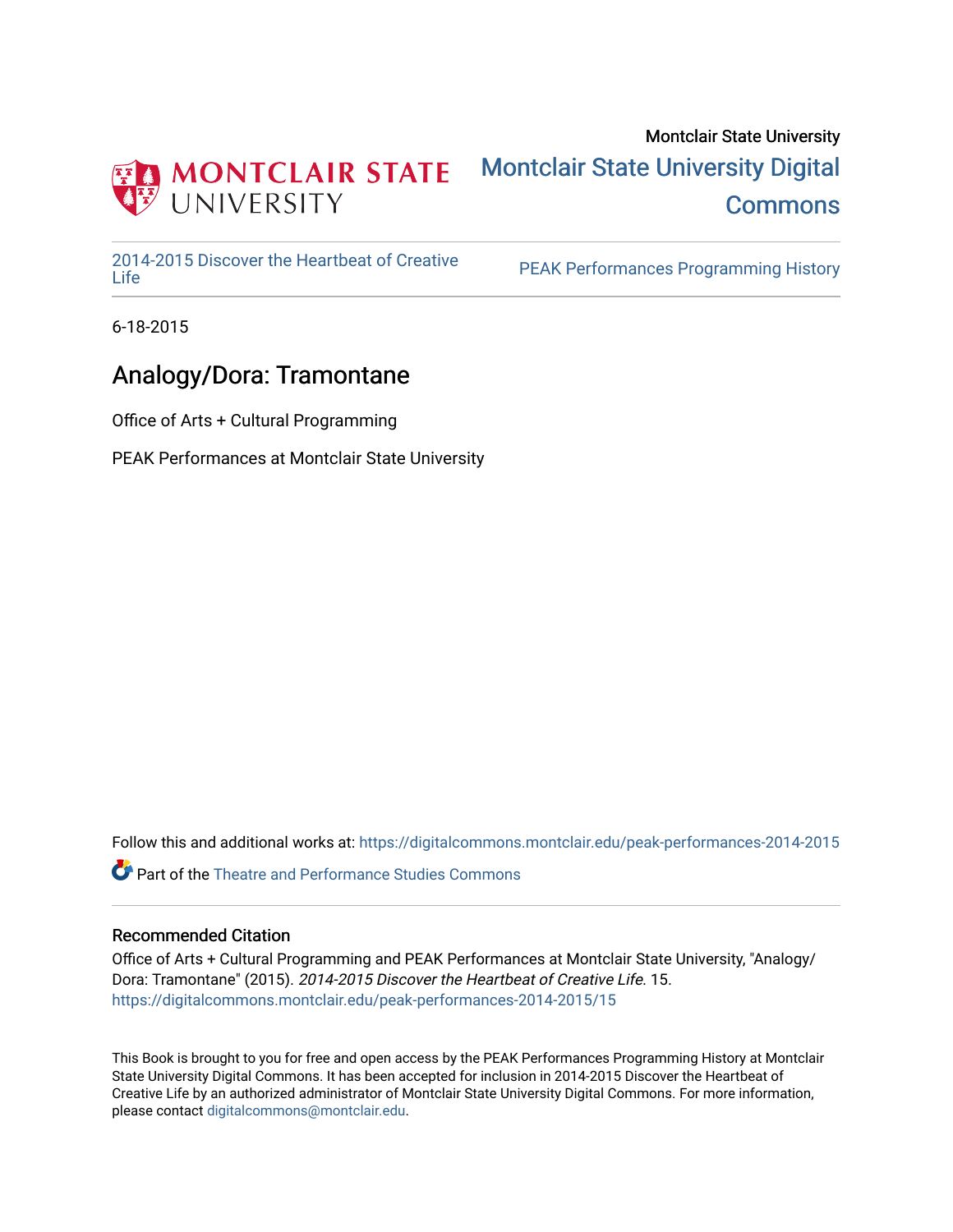

## Montclair State University [Montclair State University Digital](https://digitalcommons.montclair.edu/)  **Commons**

[2014-2015 Discover the Heartbeat of Creative](https://digitalcommons.montclair.edu/peak-performances-2014-2015) 

PEAK Performances Programming History

6-18-2015

## Analogy/Dora: Tramontane

Office of Arts + Cultural Programming

PEAK Performances at Montclair State University

Follow this and additional works at: [https://digitalcommons.montclair.edu/peak-performances-2014-2015](https://digitalcommons.montclair.edu/peak-performances-2014-2015?utm_source=digitalcommons.montclair.edu%2Fpeak-performances-2014-2015%2F15&utm_medium=PDF&utm_campaign=PDFCoverPages) 

Part of the [Theatre and Performance Studies Commons](http://network.bepress.com/hgg/discipline/552?utm_source=digitalcommons.montclair.edu%2Fpeak-performances-2014-2015%2F15&utm_medium=PDF&utm_campaign=PDFCoverPages) 

## Recommended Citation

Office of Arts + Cultural Programming and PEAK Performances at Montclair State University, "Analogy/ Dora: Tramontane" (2015). 2014-2015 Discover the Heartbeat of Creative Life. 15. [https://digitalcommons.montclair.edu/peak-performances-2014-2015/15](https://digitalcommons.montclair.edu/peak-performances-2014-2015/15?utm_source=digitalcommons.montclair.edu%2Fpeak-performances-2014-2015%2F15&utm_medium=PDF&utm_campaign=PDFCoverPages)

This Book is brought to you for free and open access by the PEAK Performances Programming History at Montclair State University Digital Commons. It has been accepted for inclusion in 2014-2015 Discover the Heartbeat of Creative Life by an authorized administrator of Montclair State University Digital Commons. For more information, please contact [digitalcommons@montclair.edu.](mailto:digitalcommons@montclair.edu)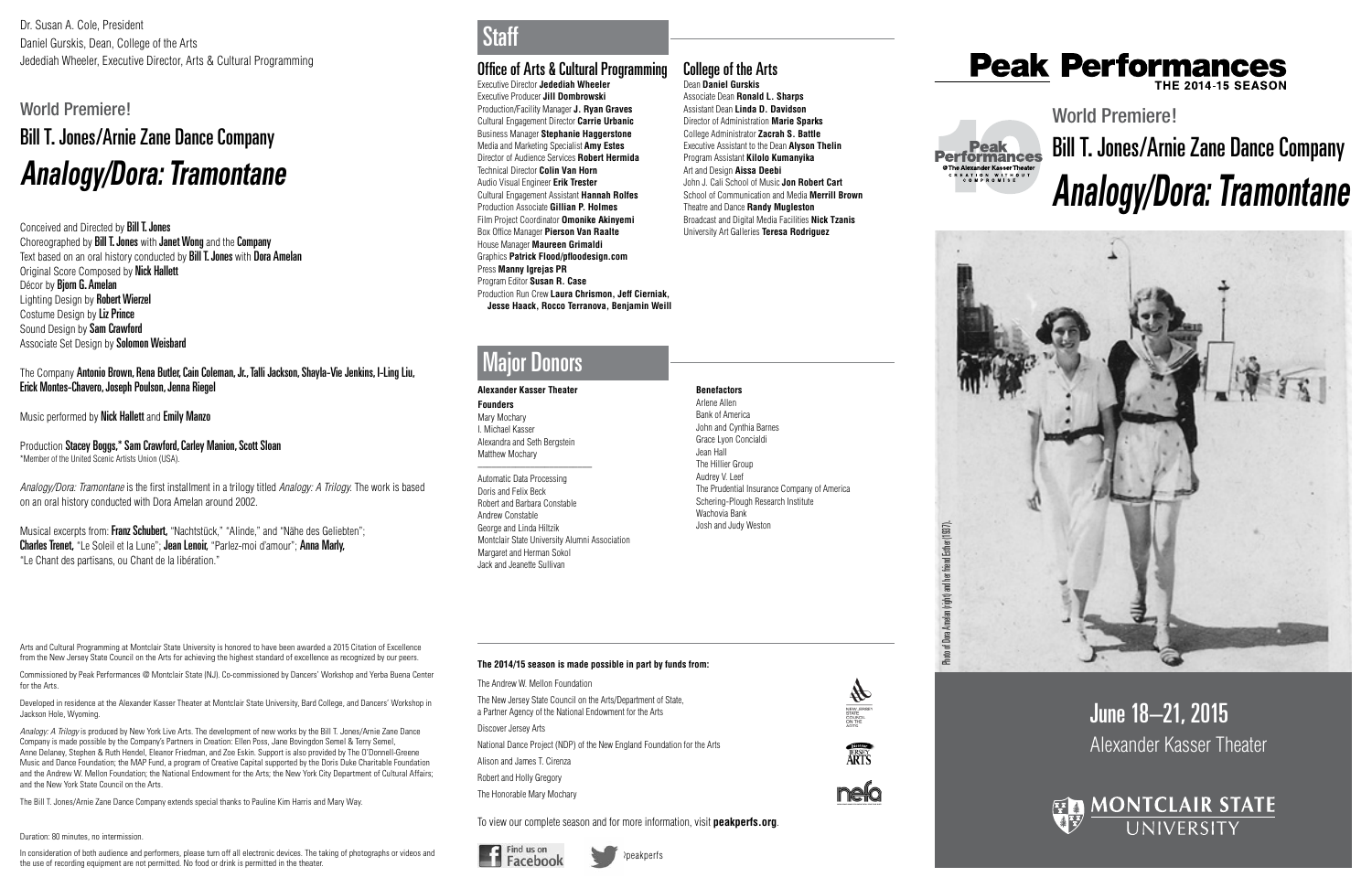# June 18–21, 2015 Alexander Kasser Theater



# Photo of Dora Amelan (right) and her friend Esther (1937). Photo of Dora Amelan (right) and her friend Esther (1937).

Dr. Susan A. Cole, President Daniel Gurskis, Dean, College of the Arts Jedediah Wheeler, Executive Director, Arts & Cultural Programming **Cultural Programming Cultural Programming** 

> World Premiere! Bill T. Jones/Arnie Zane Dance Company *Analogy/Dora: Tramontane*



**Founders** Mary Mochary I. Michael Kasser Alexandra and Seth Bergstein Matthew Mochary  $\overline{\phantom{a}}$  , where  $\overline{\phantom{a}}$  , where  $\overline{\phantom{a}}$  , where  $\overline{\phantom{a}}$ 

Executive Director **Jedediah Wheeler** Executive Producer **Jill Dombrowski** Production/Facility Manager **J. Ryan Graves** Cultural Engagement Director **Carrie Urbanic** Business Manager **Stephanie Haggerstone**  Media and Marketing Specialist **Amy Estes** Director of Audience Services **Robert Hermida** Technical Director **Colin Van Horn** Audio Visual Engineer **Erik Trester** Cultural Engagement Assistant **Hannah Rolfes**  Production Associate **Gillian P. Holmes**  Film Project Coordinator **Omonike Akinyemi** Box Office Manager **Pierson Van Raalte** House Manager **Maureen Grimaldi** Graphics **Patrick Flood/pfloodesign.com** Press **Manny Igrejas PR** Program Editor **Susan R. Case** Production Run Crew **Laura Chrismon, Jeff Cierniak, Jesse Haack, Rocco Terranova, Benjamin Weill**



# **Peak Performances**

#### **Alexander Kasser Theater**

Automatic Data Processing Doris and Felix Beck Robert and Barbara Constable Andrew Constable George and Linda Hiltzik Montclair State University Alumni Association Margaret and Herman Sokol Jack and Jeanette Sullivan

**Benefactors** Arlene Allen Bank of America John and Cynthia Barnes Grace Lyon Concialdi

Jean Hall The Hillier Group Audrey V. Leef

The Prudential Insurance Company of America Schering-Plough Research Institute

 $\frac{4}{\sqrt{2}}$ 

**ERSEY** 

**nelo** 



Wachovia Bank Josh and Judy Weston

## Major Donors

## **The 2014/15 season is made possible in part by funds from:**

The Andrew W. Mellon Foundation

The New Jersey State Council on the Arts/Department of State, a Partner Agency of the National Endowment for the Arts

Discover Jersey Arts National Dance Project (NDP) of the New England Foundation for the Arts Alison and James T. Cirenza Robert and Holly Gregory

The Honorable Mary Mochary

To view our complete season and for more information, visit **peakperfs.org**.



Conceived and Directed by Bill T. Jones Choreographed by **Bill T. Jones** with **Janet Wong** and the **Company** Text based on an oral history conducted by Bill T. Jones with Dora Amelan **Original Score Composed by Nick Hallett** Décor by **Biorn G. Amelan** Lighting Design by Robert Wierzel Costume Design by Liz Prince Sound Design by Sam Crawford Associate Set Design by Solomon Weisbard



## College of the Arts Dean **Daniel Gurskis**

Associate Dean **Ronald L. Sharps** Assistant Dean **Linda D. Davidson** Director of Administration **Marie Sparks** College Administrator **Zacrah S. Battle** Executive Assistant to the Dean **Alyson Thelin** Program Assistant **Kilolo Kumanyika** Art and Design **Aissa Deebi** John J. Cali School of Music **Jon Robert Cart** School of Communication and Media **Merrill Brown** Theatre and Dance **Randy Mugleston** Broadcast and Digital Media Facilities **Nick Tzanis** University Art Galleries **Teresa Rodriguez**

Musical excerpts from: Franz Schubert, "Nachtstück," "Alinde," and "Nähe des Geliebten"; Charles Trenet, "Le Soleil et la Lune"; Jean Lenoir, "Parlez-moi d'amour"; Anna Marly, "Le Chant des partisans, ou Chant de la libération."

**Staff** 

# World Premiere! Bill T. Jones/Arnie Zane Dance Company *Analogy/Dora: Tramontane*

Arts and Cultural Programming at Montclair State University is honored to have been awarded a 2015 Citation of Excellence from the New Jersey State Council on the Arts for achieving the highest standard of excellence as recognized by our peers.

Commissioned by Peak Performances @ Montclair State (NJ). Co-commissioned by Dancers' Workshop and Yerba Buena Center for the Arts.

Developed in residence at the Alexander Kasser Theater at Montclair State University, Bard College, and Dancers' Workshop in Jackson Hole, Wyoming.

*Analogy: A Trilogy* is produced by New York Live Arts. The development of new works by the Bill T. Jones/Arnie Zane Dance Company is made possible by the Company's Partners in Creation: Ellen Poss, Jane Bovingdon Semel & Terry Semel, Anne Delaney, Stephen & Ruth Hendel, Eleanor Friedman, and Zoe Eskin. Support is also provided by The O'Donnell-Greene Music and Dance Foundation; the MAP Fund, a program of Creative Capital supported by the Doris Duke Charitable Foundation and the Andrew W. Mellon Foundation; the National Endowment for the Arts; the New York City Department of Cultural Affairs; and the New York State Council on the Arts.

The Bill T. Jones/Arnie Zane Dance Company extends special thanks to Pauline Kim Harris and Mary Way.

#### Duration: 80 minutes, no intermission.

In consideration of both audience and performers, please turn off all electronic devices. The taking of photographs or videos and the use of recording equipment are not permitted. No food or drink is permitted in the theater.

The Company Antonio Brown, Rena Butler, Cain Coleman, Jr., Talli Jackson, Shayla-Vie Jenkins, I-Ling Liu, Erick Montes-Chavero, Joseph Poulson, Jenna Riegel

Music performed by Nick Hallett and Emily Manzo

Production Stacey Boggs,\* Sam Crawford, Carley Manion, Scott Sloan \*Member of the United Scenic Artists Union (USA).

*Analogy/Dora: Tramontane* is the first installment in a trilogy titled *Analogy: A Trilogy.* The work is based on an oral history conducted with Dora Amelan around 2002.